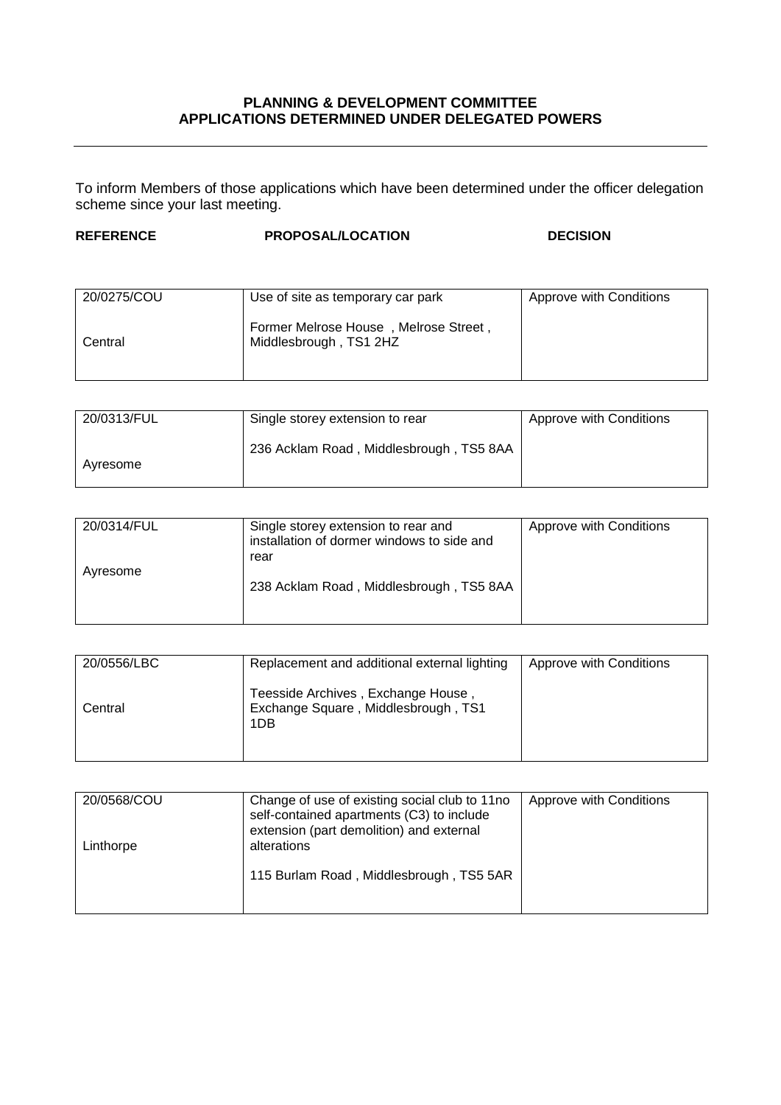## **PLANNING & DEVELOPMENT COMMITTEE APPLICATIONS DETERMINED UNDER DELEGATED POWERS**

To inform Members of those applications which have been determined under the officer delegation scheme since your last meeting.

## **REFERENCE PROPOSAL/LOCATION DECISION**

| 20/0275/COU | Use of site as temporary car park                               | Approve with Conditions |
|-------------|-----------------------------------------------------------------|-------------------------|
| Central     | Former Melrose House, Melrose Street,<br>Middlesbrough, TS1 2HZ |                         |

| 20/0313/FUL | Single storey extension to rear         | Approve with Conditions |
|-------------|-----------------------------------------|-------------------------|
| Avresome    | 236 Acklam Road, Middlesbrough, TS5 8AA |                         |

| 20/0314/FUL | Single storey extension to rear and<br>installation of dormer windows to side and<br>rear | Approve with Conditions |
|-------------|-------------------------------------------------------------------------------------------|-------------------------|
| Ayresome    | 238 Acklam Road, Middlesbrough, TS5 8AA                                                   |                         |

| 20/0556/LBC | Replacement and additional external lighting                                     | Approve with Conditions |
|-------------|----------------------------------------------------------------------------------|-------------------------|
| Central     | Teesside Archives, Exchange House,<br>Exchange Square, Middlesbrough, TS1<br>1DB |                         |

| 20/0568/COU<br>Linthorpe | Change of use of existing social club to 11no<br>self-contained apartments (C3) to include<br>extension (part demolition) and external<br>alterations | Approve with Conditions |
|--------------------------|-------------------------------------------------------------------------------------------------------------------------------------------------------|-------------------------|
|                          | 115 Burlam Road, Middlesbrough, TS5 5AR                                                                                                               |                         |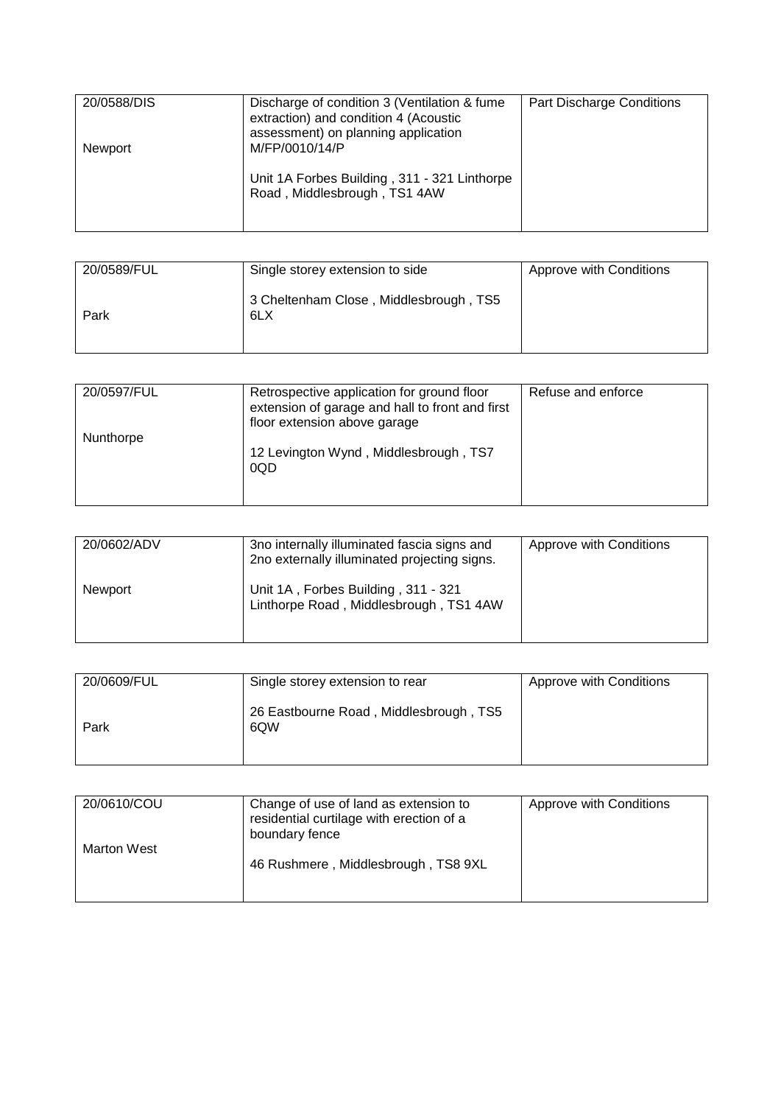| 20/0588/DIS<br><b>Newport</b> | Discharge of condition 3 (Ventilation & fume)<br>extraction) and condition 4 (Acoustic<br>assessment) on planning application<br>M/FP/0010/14/P | <b>Part Discharge Conditions</b> |
|-------------------------------|-------------------------------------------------------------------------------------------------------------------------------------------------|----------------------------------|
|                               | Unit 1A Forbes Building, 311 - 321 Linthorpe<br>Road, Middlesbrough, TS1 4AW                                                                    |                                  |

| 20/0589/FUL | Single storey extension to side               | Approve with Conditions |
|-------------|-----------------------------------------------|-------------------------|
| Park        | 3 Cheltenham Close, Middlesbrough, TS5<br>6LX |                         |

| 20/0597/FUL | Retrospective application for ground floor<br>extension of garage and hall to front and first<br>floor extension above garage | Refuse and enforce |
|-------------|-------------------------------------------------------------------------------------------------------------------------------|--------------------|
| Nunthorpe   | 12 Levington Wynd, Middlesbrough, TS7<br>0QD                                                                                  |                    |

| 20/0602/ADV    | 3no internally illuminated fascia signs and<br>2no externally illuminated projecting signs. | Approve with Conditions |
|----------------|---------------------------------------------------------------------------------------------|-------------------------|
| <b>Newport</b> | Unit 1A, Forbes Building, 311 - 321<br>Linthorpe Road, Middlesbrough, TS1 4AW               |                         |

| 20/0609/FUL | Single storey extension to rear               | Approve with Conditions |
|-------------|-----------------------------------------------|-------------------------|
| Park        | 26 Eastbourne Road, Middlesbrough, TS5<br>6QW |                         |

| 20/0610/COU        | Change of use of land as extension to<br>residential curtilage with erection of a<br>boundary fence | Approve with Conditions |
|--------------------|-----------------------------------------------------------------------------------------------------|-------------------------|
| <b>Marton West</b> | 46 Rushmere, Middlesbrough, TS8 9XL                                                                 |                         |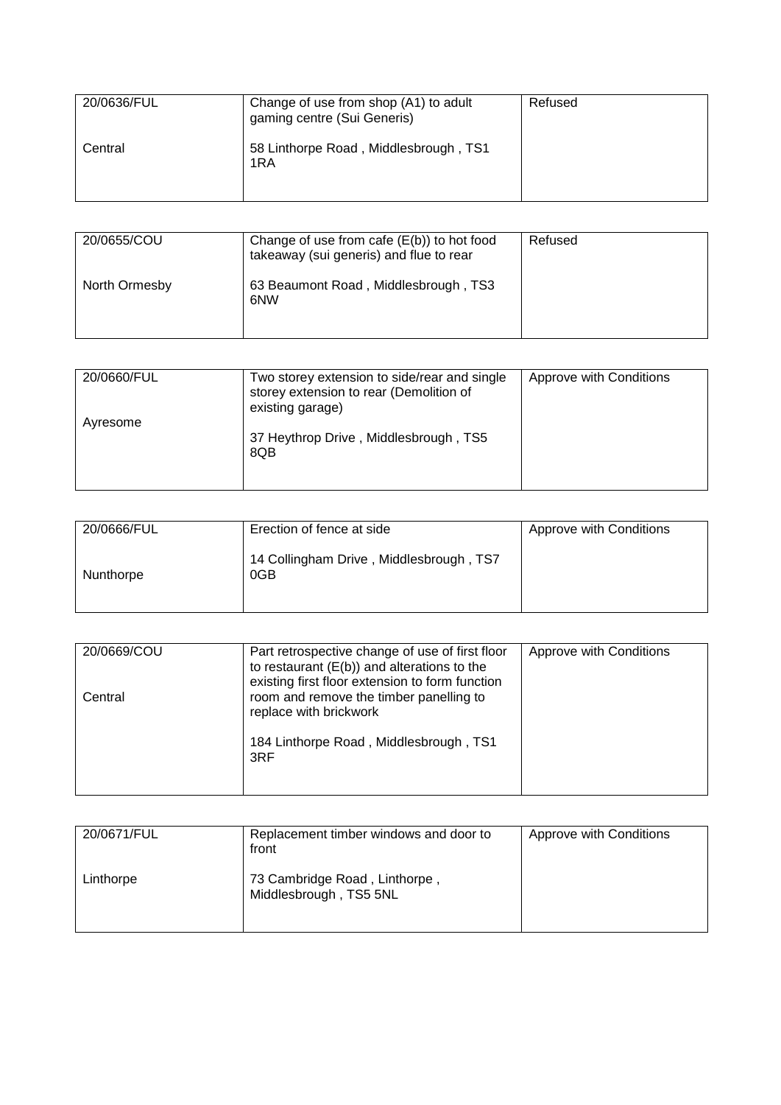| 20/0636/FUL | Change of use from shop (A1) to adult<br>gaming centre (Sui Generis) | Refused |
|-------------|----------------------------------------------------------------------|---------|
| Central     | 58 Linthorpe Road, Middlesbrough, TS1<br>1RA                         |         |

| 20/0655/COU   | Change of use from cafe $(E(b))$ to hot food<br>takeaway (sui generis) and flue to rear | Refused |
|---------------|-----------------------------------------------------------------------------------------|---------|
| North Ormesby | 63 Beaumont Road, Middlesbrough, TS3<br>6NW                                             |         |

| 20/0660/FUL | Two storey extension to side/rear and single | Approve with Conditions |
|-------------|----------------------------------------------|-------------------------|
|             | storey extension to rear (Demolition of      |                         |
|             | existing garage)                             |                         |
|             |                                              |                         |
| Ayresome    |                                              |                         |
|             | 37 Heythrop Drive, Middlesbrough, TS5        |                         |
|             | 8QB                                          |                         |
|             |                                              |                         |
|             |                                              |                         |

| 20/0666/FUL | Erection of fence at side                      | Approve with Conditions |
|-------------|------------------------------------------------|-------------------------|
| Nunthorpe   | 14 Collingham Drive, Middlesbrough, TS7<br>0GB |                         |

| 20/0669/COU | Part retrospective change of use of first floor<br>to restaurant $(E(b))$ and alterations to the<br>existing first floor extension to form function | Approve with Conditions |
|-------------|-----------------------------------------------------------------------------------------------------------------------------------------------------|-------------------------|
| Central     | room and remove the timber panelling to<br>replace with brickwork<br>184 Linthorpe Road, Middlesbrough, TS1<br>3RF                                  |                         |
|             |                                                                                                                                                     |                         |

| 20/0671/FUL | Replacement timber windows and door to<br>front         | Approve with Conditions |
|-------------|---------------------------------------------------------|-------------------------|
| Linthorpe   | 73 Cambridge Road, Linthorpe,<br>Middlesbrough, TS5 5NL |                         |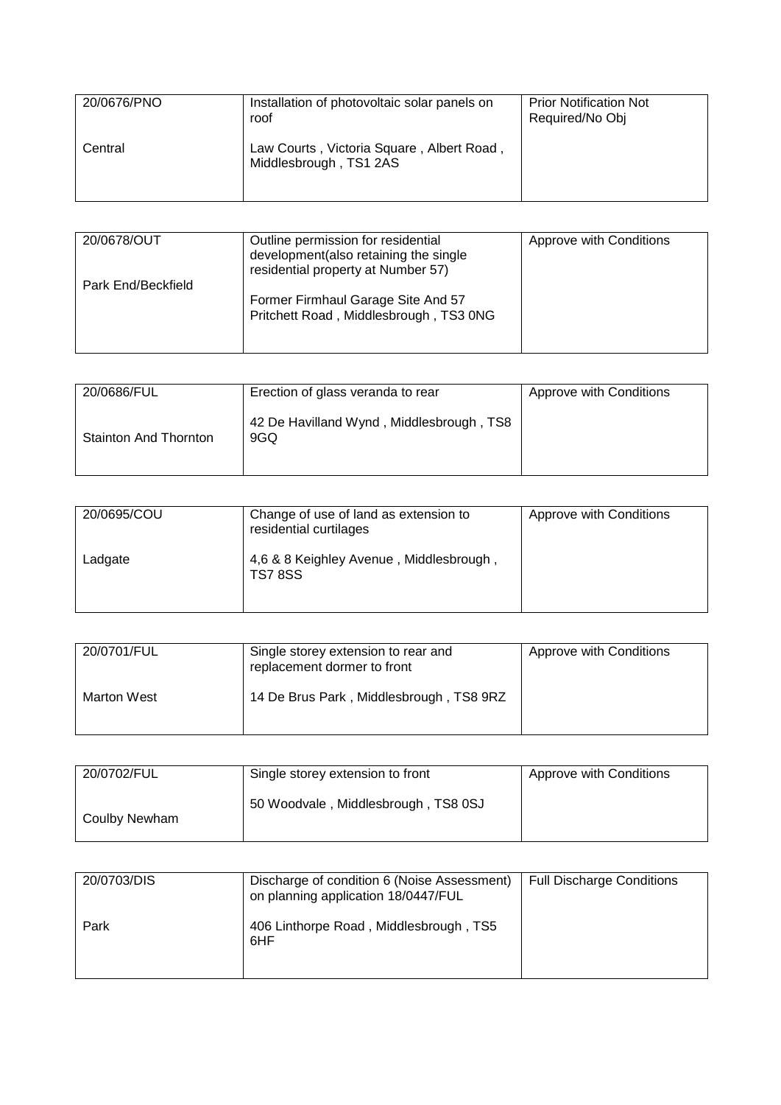| 20/0676/PNO | Installation of photovoltaic solar panels on<br>roof                | <b>Prior Notification Not</b><br>Required/No Obj |
|-------------|---------------------------------------------------------------------|--------------------------------------------------|
| Central     | Law Courts, Victoria Square, Albert Road,<br>Middlesbrough, TS1 2AS |                                                  |

| 20/0678/OUT        | Outline permission for residential<br>development (also retaining the single<br>residential property at Number 57) | Approve with Conditions |
|--------------------|--------------------------------------------------------------------------------------------------------------------|-------------------------|
| Park End/Beckfield | Former Firmhaul Garage Site And 57<br>Pritchett Road, Middlesbrough, TS3 0NG                                       |                         |

| 20/0686/FUL                  | Erection of glass veranda to rear               | Approve with Conditions |
|------------------------------|-------------------------------------------------|-------------------------|
| <b>Stainton And Thornton</b> | 42 De Havilland Wynd, Middlesbrough, TS8<br>9GQ |                         |

| 20/0695/COU | Change of use of land as extension to<br>residential curtilages | Approve with Conditions |
|-------------|-----------------------------------------------------------------|-------------------------|
| Ladgate     | 4,6 & 8 Keighley Avenue, Middlesbrough,<br><b>TS7 8SS</b>       |                         |

| 20/0701/FUL | Single storey extension to rear and<br>replacement dormer to front | Approve with Conditions |
|-------------|--------------------------------------------------------------------|-------------------------|
| Marton West | 14 De Brus Park, Middlesbrough, TS8 9RZ                            |                         |

| 20/0702/FUL   | Single storey extension to front    | Approve with Conditions |
|---------------|-------------------------------------|-------------------------|
| Coulby Newham | 50 Woodvale, Middlesbrough, TS8 0SJ |                         |

| 20/0703/DIS | Discharge of condition 6 (Noise Assessment)<br>on planning application 18/0447/FUL | <b>Full Discharge Conditions</b> |
|-------------|------------------------------------------------------------------------------------|----------------------------------|
| Park        | 406 Linthorpe Road, Middlesbrough, TS5<br>6HF                                      |                                  |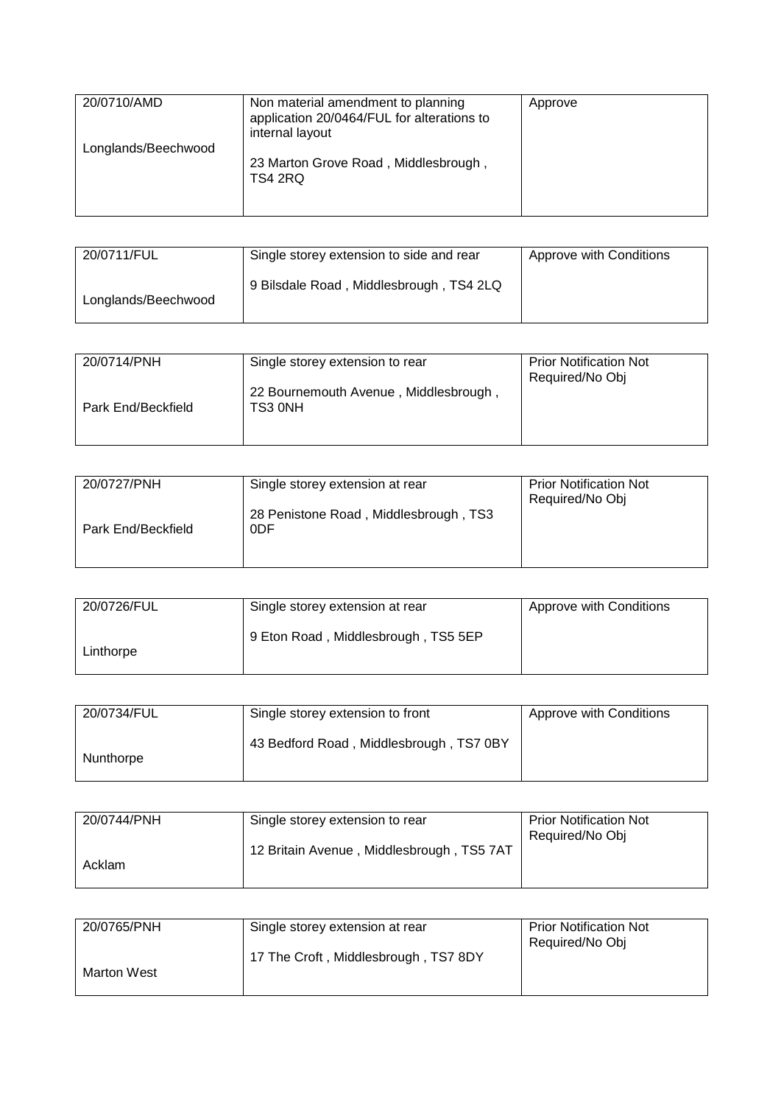| 20/0710/AMD         | Non material amendment to planning<br>application 20/0464/FUL for alterations to<br>internal layout | Approve |
|---------------------|-----------------------------------------------------------------------------------------------------|---------|
| Longlands/Beechwood | 23 Marton Grove Road, Middlesbrough,<br>TS4 2RQ                                                     |         |
|                     |                                                                                                     |         |

| 20/0711/FUL         | Single storey extension to side and rear | Approve with Conditions |
|---------------------|------------------------------------------|-------------------------|
| Longlands/Beechwood | 9 Bilsdale Road, Middlesbrough, TS4 2LQ  |                         |

| Single storey extension to rear                  | <b>Prior Notification Not</b><br>Required/No Obj |
|--------------------------------------------------|--------------------------------------------------|
| 22 Bournemouth Avenue, Middlesbrough,<br>TS3 0NH |                                                  |
|                                                  |                                                  |

| 20/0727/PNH        | Single storey extension at rear              | <b>Prior Notification Not</b><br>Required/No Obj |
|--------------------|----------------------------------------------|--------------------------------------------------|
| Park End/Beckfield | 28 Penistone Road, Middlesbrough, TS3<br>0DF |                                                  |

| 20/0726/FUL | Single storey extension at rear     | Approve with Conditions |
|-------------|-------------------------------------|-------------------------|
| Linthorpe   | 9 Eton Road, Middlesbrough, TS5 5EP |                         |

| 20/0734/FUL | Single storey extension to front        | Approve with Conditions |
|-------------|-----------------------------------------|-------------------------|
| Nunthorpe   | 43 Bedford Road, Middlesbrough, TS7 0BY |                         |

| 20/0744/PNH | Single storey extension to rear           | <b>Prior Notification Not</b><br>Required/No Obj |
|-------------|-------------------------------------------|--------------------------------------------------|
| Acklam      | 12 Britain Avenue, Middlesbrough, TS5 7AT |                                                  |

| 20/0765/PNH | Single storey extension at rear      | <b>Prior Notification Not</b> |
|-------------|--------------------------------------|-------------------------------|
|             | 17 The Croft, Middlesbrough, TS7 8DY | Required/No Obj               |
| Marton West |                                      |                               |